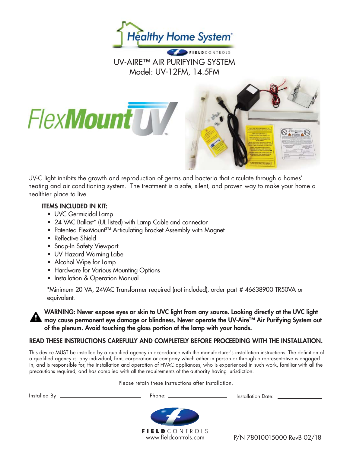

# UV-AIRE™ AIR PURIFYING SYSTEM Model: UV-12FM, 14.5FM

UV-C light inhibits the growth and reproduction of germs and bacteria that circulate through a homes' heating and air conditioning system. The treatment is a safe, silent, and proven way to make your home a healthier place to live.

#### **ITEMS INCLUDED IN KIT:**

**FlexMount** 

- UVC Germicidal Lamp
- 24 VAC Ballast\* (UL listed) with Lamp Cable and connector
- Patented FlexMount™ Articulating Bracket Assembly with Magnet
- Reflective Shield
- Snap-In Safety Viewport
- UV Hazard Warning Label
- Alcohol Wipe for Lamp
- Hardware for Various Mounting Options
- Installation & Operation Manual

\*Minimum 20 VA, 24VAC Transformer required (not included), order part # 46638900 TR50VA or equivalent.

**WARNING: Never expose eyes or skin to UVC light from any source. Looking directly at the UVC light may cause permanent eye damage or blindness. Never operate the UV-Aire™ Air Purifying System out of the plenum. Avoid touching the glass portion of the lamp with your hands.**

#### **READ THESE INSTRUCTIONS CAREFULLY AND COMPLETELY BEFORE PROCEEDING WITH THE INSTALLATION.**

This device MUST be installed by a qualified agency in accordance with the manufacturer's installation instructions. The definition of a qualified agency is: any individual, firm, corporation or company which either in person or through a representative is engaged in, and is responsible for, the installation and operation of HVAC appliances, who is experienced in such work, familiar with all the precautions required, and has complied with all the requirements of the authority having jurisdiction.

Please retain these instructions after installation.

Installed By: Phone: Installation Date:

**FIELD** CONTROLS www.fieldcontrols.com

P/N 78010015000 RevB 02/18

 $\circ$ .  $\circ$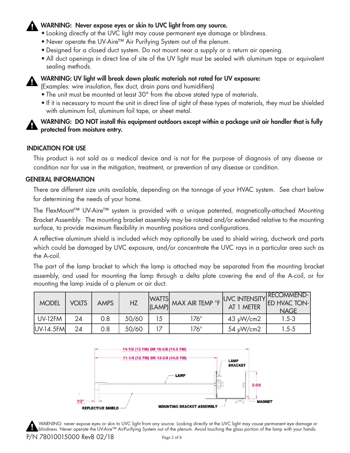## **WARNING: Never expose eyes or skin to UVC light from any source.**

- Looking directly at the UVC light may cause permanent eye damage or blindness.
- Never operate the UV-Aire™ Air Purifying System out of the plenum.
- Designed for a closed duct system. Do not mount near a supply or a return air opening.
- All duct openings in direct line of site of the UV light must be sealed with aluminum tape or equivalent sealing methods.



#### **WARNING: UV light will break down plastic materials not rated for UV exposure:**

(Examples: wire insulation, flex duct, drain pans and humidifiers)

- The unit must be mounted at least 30" from the above stated type of materials.
- If it is necessary to mount the unit in direct line of sight of these types of materials, they must be shielded with aluminum foil, aluminum foil tape, or sheet metal.

## **WARNING: DO NOT install this equipment outdoors except within a package unit air handler that is fully protected from moisture entry.**

#### **INDICATION FOR USE**

This product is not sold as a medical device and is not for the purpose of diagnosis of any disease or condition nor for use in the mitigation, treatment, or prevention of any disease or condition.

#### **GENERAL INFORMATION**

There are different size units available, depending on the tonnage of your HVAC system. See chart below for determining the needs of your home.

The FlexMount™ UV-Aire™ system is provided with a unique patented, magnetically-attached Mounting Bracket Assembly. The mounting bracket assembly may be rotated and/or extended relative to the mounting surface, to provide maximum flexibility in mounting positions and configurations.

A reflective aluminum shield is included which may optionally be used to shield wiring, ductwork and parts which could be damaged by UVC exposure, and/or concentrate the UVC rays in a particular area such as the A-coil.

The part of the lamp bracket to which the lamp is attached may be separated from the mounting bracket assembly, and used for mounting the lamp through a delta plate covering the end of the A-coil, or for mounting the lamp inside of a plenum or air duct.

| <b>MODEL</b> | <b>VOLTS</b> | <b>AMPS</b> | HZ    |    | WATTS MAX AIR TEMP OF UVC INTENSITY RECOMMEND-<br>(LAMP) MAX AIR TEMP OF AT 1 METER ED HVAC TON- |                | <b>NAGE</b> |
|--------------|--------------|-------------|-------|----|--------------------------------------------------------------------------------------------------|----------------|-------------|
| $ $ UV-12FM  | 24           | 0.8         | 50/60 | 15 | 176 $^{\circ}$                                                                                   | $43 \mu W/cm2$ | $1.5 - 3$   |
| $UV-14.5FM$  | 24           | 0.8         | 50/60 |    | 176 $^{\circ}$                                                                                   | $54 \mu W/cm2$ | $1.5 - 5$   |



WARNING: never expose eyes or skin to UVC light from any source. Looking directly at the UVC light may cause permanent eye damage or blindness. Never operate the UV-Aire™ AirPurifying System out of the plenum. Avoid touching the glass portion of the lamp with your hands.

P/N 78010015000 RevB 02/18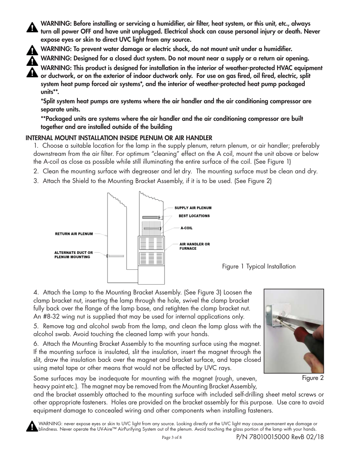WARNING: Before installing or servicing a humidifier, air filter, heat system, or this unit, etc., always **turn all power OFF and have unit unplugged. Electrical shock can cause personal injury or death. Never expose eyes or skin to direct UVC light from any source.**



WARNING: To prevent water damage or electric shock, do not mount unit under a humidifier.

**WARNING: Designed for a closed duct system. Do not mount near a supply or a return air opening.**

**WARNING: This product is designed for installation in the interior of weather-protected HVAC equipment**  or ductwork, or on the exterior of indoor ductwork only. For use on gas fired, oil fired, electric, split **system heat pump forced air systems\*, and the interior of weather-protected heat pump packaged units\*\*.**

**\*Split system heat pumps are systems where the air handler and the air conditioning compressor are separate units.**

**\*\*Packaged units are systems where the air handler and the air conditioning compressor are built together and are installed outside of the building**

#### **INTERNAL MOUNT INSTALLATION INSIDE PLENUM OR AIR HANDLER**

1. Choose a suitable location for the lamp in the supply plenum, return plenum, or air handler; preferably downstream from the air filter. For optimum "cleaning" effect on the A coil, mount the unit above or below the A-coil as close as possible while still illuminating the entire surface of the coil. (See Figure 1)

- 2. Clean the mounting surface with degreaser and let dry. The mounting surface must be clean and dry.
- 3. Attach the Shield to the Mounting Bracket Assembly, if it is to be used. (See Figure 2)





4. Attach the Lamp to the Mounting Bracket Assembly. (See Figure 3) Loosen the clamp bracket nut, inserting the lamp through the hole, swivel the clamp bracket fully back over the flange of the lamp base, and retighten the clamp bracket nut. An #8-32 wing nut is supplied that may be used for internal applications only.

5. Remove tag and alcohol swab from the lamp, and clean the lamp glass with the alcohol swab. Avoid touching the cleaned lamp with your hands.

6. Attach the Mounting Bracket Assembly to the mounting surface using the magnet. If the mounting surface is insulated, slit the insulation, insert the magnet through the slit, draw the insulation back over the magnet and bracket surface, and tape closed using metal tape or other means that would not be affected by UVC rays.

Some surfaces may be inadequate for mounting with the magnet (rough, uneven, heavy paint etc.). The magnet may be removed from the Mounting Bracket Assembly,



Figure 2

and the bracket assembly attached to the mounting surface with included self-drilling sheet metal screws or other appropriate fasteners. Holes are provided on the bracket assembly for this purpose. Use care to avoid equipment damage to concealed wiring and other components when installing fasteners.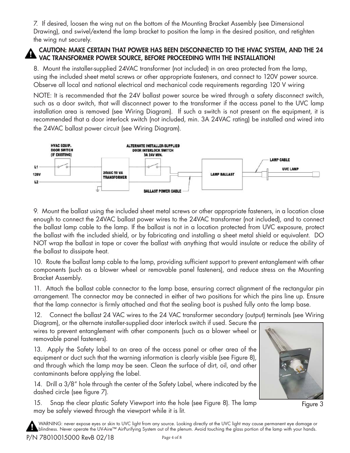7. If desired, loosen the wing nut on the bottom of the Mounting Bracket Assembly (see Dimensional Drawing), and swivel/extend the lamp bracket to position the lamp in the desired position, and retighten the wing nut securely.

## **CAUTION: MAKE CERTAIN THAT POWER HAS BEEN DISCONNECTED TO THE HVAC SYSTEM, AND THE 24 VAC TRANSFORMER POWER SOURCE, BEFORE PROCEEDING WITH THE INSTALLATION!**

8. Mount the installer-supplied 24VAC transformer (not included) in an area protected from the lamp, using the included sheet metal screws or other appropriate fasteners, and connect to 120V power source. Observe all local and national electrical and mechanical code requirements regarding 120 V wiring

NOTE: It is recommended that the 24V ballast power source be wired through a safety disconnect switch, such as a door switch, that will disconnect power to the transformer if the access panel to the UVC lamp installation area is removed (see Wiring Diagram). If such a switch is not present on the equipment, it is recommended that a door interlock switch (not included, min. 3A 24VAC rating) be installed and wired into the 24VAC ballast power circuit (see Wiring Diagram).



9. Mount the ballast using the included sheet metal screws or other appropriate fasteners, in a location close enough to connect the 24VAC ballast power wires to the 24VAC transformer (not included), and to connect the ballast lamp cable to the lamp. If the ballast is not in a location protected from UVC exposure, protect the ballast with the included shield, or by fabricating and installing a sheet metal shield or equivalent. DO NOT wrap the ballast in tape or cover the ballast with anything that would insulate or reduce the ability of the ballast to dissipate heat.

10. Route the ballast lamp cable to the lamp, providing sufficient support to prevent entanglement with other components (such as a blower wheel or removable panel fasteners), and reduce stress on the Mounting Bracket Assembly.

11. Attach the ballast cable connector to the lamp base, ensuring correct alignment of the rectangular pin arrangement. The connector may be connected in either of two positions for which the pins line up. Ensure that the lamp connector is firmly attached and that the sealing boot is pushed fully onto the lamp base.

12. Connect the ballast 24 VAC wires to the 24 VAC transformer secondary (output) terminals (see Wiring

Diagram), or the alternate installer-supplied door interlock switch if used. Secure the wires to prevent entanglement with other components (such as a blower wheel or removable panel fasteners).

13. Apply the Safety label to an area of the access panel or other area of the equipment or duct such that the warning information is clearly visible (see Figure 8), and through which the lamp may be seen. Clean the surface of dirt, oil, and other contaminants before applying the label.

14. Drill a 3/8" hole through the center of the Safety Label, where indicated by the dashed circle (see figure 7).

15. Snap the clear plastic Safety Viewport into the hole (see Figure 8). The lamp may be safely viewed through the viewport while it is lit.



Figure 3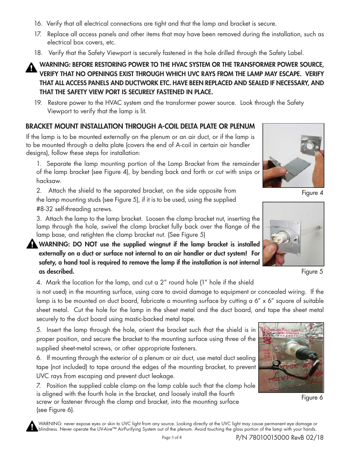- 16. Verify that all electrical connections are tight and that the lamp and bracket is secure.
- 17. Replace all access panels and other items that may have been removed during the installation, such as electrical box covers, etc.
- 18. Verify that the Safety Viewport is securely fastened in the hole drilled through the Safety Label.

**WARNING: BEFORE RESTORING POWER TO THE HVAC SYSTEM OR THE TRANSFORMER POWER SOURCE, VERIFY THAT NO OPENINGS EXIST THROUGH WHICH UVC RAYS FROM THE LAMP MAY ESCAPE. VERIFY THAT ALL ACCESS PANELS AND DUCTWORK ETC. HAVE BEEN REPLACED AND SEALED IF NECESSARY, AND THAT THE SAFETY VIEW PORT IS SECURELY FASTENED IN PLACE.**

19. Restore power to the HVAC system and the transformer power source. Look through the Safety Viewport to verify that the lamp is lit.

# **BRACKET MOUNT INSTALLATION THROUGH A-COIL DELTA PLATE OR PLENUM**

If the lamp is to be mounted externally on the plenum or an air duct, or if the lamp is to be mounted through a delta plate (covers the end of A-coil in certain air handler designs), follow these steps for installation:

1. Separate the lamp mounting portion of the Lamp Bracket from the remainder of the lamp bracket (see Figure 4), by bending back and forth or cut with snips or hacksaw.

2. Attach the shield to the separated bracket, on the side opposite from the lamp mounting studs (see Figure 5), if it is to be used, using the supplied #8-32 self-threading screws.

3. Attach the lamp to the lamp bracket. Loosen the clamp bracket nut, inserting the lamp through the hole, swivel the clamp bracket fully back over the flange of the lamp base, and retighten the clamp bracket nut. (See Figure 5)

**WARNING: DO NOT use the supplied wingnut if the lamp bracket is installed externally on a duct or surface not internal to an air handler or duct system! For safety, a hand tool is required to remove the lamp if the installation is not internal as described.**

4. Mark the location for the lamp, and cut a 2" round hole (1" hole if the shield

is not used) in the mounting surface, using care to avoid damage to equipment or concealed wiring. If the lamp is to be mounted on duct board, fabricate a mounting surface by cutting a 6" x 6" square of suitable sheet metal. Cut the hole for the lamp in the sheet metal and the duct board, and tape the sheet metal securely to the duct board using mastic-backed metal tape.

5. Insert the lamp through the hole, orient the bracket such that the shield is in proper position, and secure the bracket to the mounting surface using three of the supplied sheet-metal screws, or other appropriate fasteners.

6. If mounting through the exterior of a plenum or air duct, use metal duct sealing tape (not included) to tape around the edges of the mounting bracket, to prevent UVC rays from escaping and prevent duct leakage.

7. Position the supplied cable clamp on the lamp cable such that the clamp hole is aligned with the fourth hole in the bracket, and loosely install the fourth screw or fastener through the clamp and bracket, into the mounting surface (see Figure 6).



Figure 4



Figure 5



Figure 6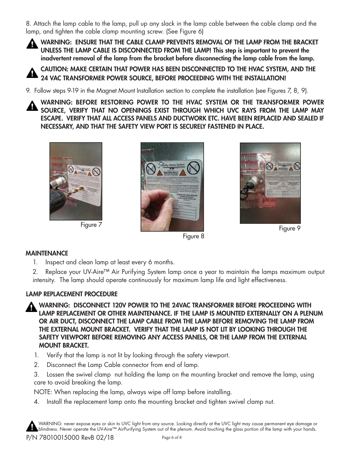8. Attach the lamp cable to the lamp, pull up any slack in the lamp cable between the cable clamp and the lamp, and tighten the cable clamp mounting screw. (See Figure 6)

**WARNING: ENSURE THAT THE CABLE CLAMP PREVENTS REMOVAL OF THE LAMP FROM THE BRACKET UNLESS THE LAMP CABLE IS DISCONNECTED FROM THE LAMP! This step is important to prevent the inadvertent removal of the lamp from the bracket before disconnecting the lamp cable from the lamp.**

**CAUTION: MAKE CERTAIN THAT POWER HAS BEEN DISCONNECTED TO THE HVAC SYSTEM, AND THE 24 VAC TRANSFORMER POWER SOURCE, BEFORE PROCEEDING WITH THE INSTALLATION!**

9. Follow steps 9-19 in the Magnet Mount Installation section to complete the installation (see Figures 7, 8, 9).

**WARNING: BEFORE RESTORING POWER TO THE HVAC SYSTEM OR THE TRANSFORMER POWER SOURCE, VERIFY THAT NO OPENINGS EXIST THROUGH WHICH UVC RAYS FROM THE LAMP MAY ESCAPE. VERIFY THAT ALL ACCESS PANELS AND DUCTWORK ETC. HAVE BEEN REPLACED AND SEALED IF NECESSARY, AND THAT THE SAFETY VIEW PORT IS SECURELY FASTENED IN PLACE.**



Figure 7



Figure 8



Figure 9

## **MAINTENANCE**

1. Inspect and clean lamp at least every 6 months.

2. Replace your UV-Aire™ Air Purifying System lamp once a year to maintain the lamps maximum output intensity. The lamp should operate continuously for maximum lamp life and light effectiveness.

## **LAMP REPLACEMENT PROCEDURE**

**WARNING: DISCONNECT 120V POWER TO THE 24VAC TRANSFORMER BEFORE PROCEEDING WITH LAMP REPLACEMENT OR OTHER MAINTENANCE. IF THE LAMP IS MOUNTED EXTERNALLY ON A PLENUM OR AIR DUCT, DISCONNECT THE LAMP CABLE FROM THE LAMP BEFORE REMOVING THE LAMP FROM THE EXTERNAL MOUNT BRACKET. VERIFY THAT THE LAMP IS NOT LIT BY LOOKING THROUGH THE SAFETY VIEWPORT BEFORE REMOVING ANY ACCESS PANELS, OR THE LAMP FROM THE EXTERNAL MOUNT BRACKET.**

- 1. Verify that the lamp is not lit by looking through the safety viewport.
- 2. Disconnect the Lamp Cable connector from end of lamp.

3. Lossen the swivel clamp nut holding the lamp on the mounting bracket and remove the lamp, using care to avoid breaking the lamp.

NOTE: When replacing the lamp, always wipe off lamp before installing.

4. Install the replacement lamp onto the mounting bracket and tighten swivel clamp nut.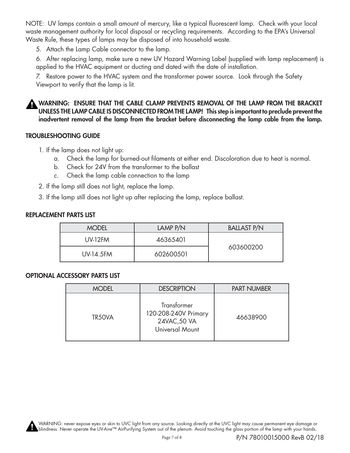NOTE: UV lamps contain a small amount of mercury, like a typical fluorescent lamp. Check with your local waste management authority for local disposal or recycling requirements. According to the EPA's Universal Waste Rule, these types of lamps may be disposed of into household waste.

5. Attach the Lamp Cable connector to the lamp.

6. After replacing lamp, make sure a new UV Hazard Warning Label (supplied with lamp replacement) is applied to the HVAC equipment or ducting and dated with the date of installation.

7. Restore power to the HVAC system and the transformer power source. Look through the Safety Viewport to verify that the lamp is lit.

**WARNING: ENSURE THAT THE CABLE CLAMP PREVENTS REMOVAL OF THE LAMP FROM THE BRACKET UNLESS THE LAMP CABLE IS DISCONNECTED FROM THE LAMP! This step is important to preclude prevent the inadvertent removal of the lamp from the bracket before disconnecting the lamp cable from the lamp.**

#### **TROUBLESHOOTING GUIDE**

- 1. If the lamp does not light up:
	- a. Check the lamp for burned-out filaments at either end. Discoloration due to heat is normal.
	- b. Check for 24V from the transformer to the ballast
	- c. Check the lamp cable connection to the lamp
- 2. If the lamp still does not light, replace the lamp.
- 3. If the lamp still does not light up after replacing the lamp, replace ballast.

#### **REPLACEMENT PARTS LIST**

| <b>MODEL</b>     | LAMP P/N  | <b>BALLAST P/N</b> |  |
|------------------|-----------|--------------------|--|
| <b>UV-12FM</b>   | 46365401  | 603600200          |  |
| <b>UV-14.5FM</b> | 602600501 |                    |  |

#### **OPTIONAL ACCESSORY PARTS LIST**

| <b>MODEL</b> | <b>DESCRIPTION</b>                                                     | <b>PART NUMBER</b> |  |
|--------------|------------------------------------------------------------------------|--------------------|--|
| TR50VA       | Transformer<br>120-208-240V Primary<br>24VAC, 50 VA<br>Universal Mount | 46638900           |  |